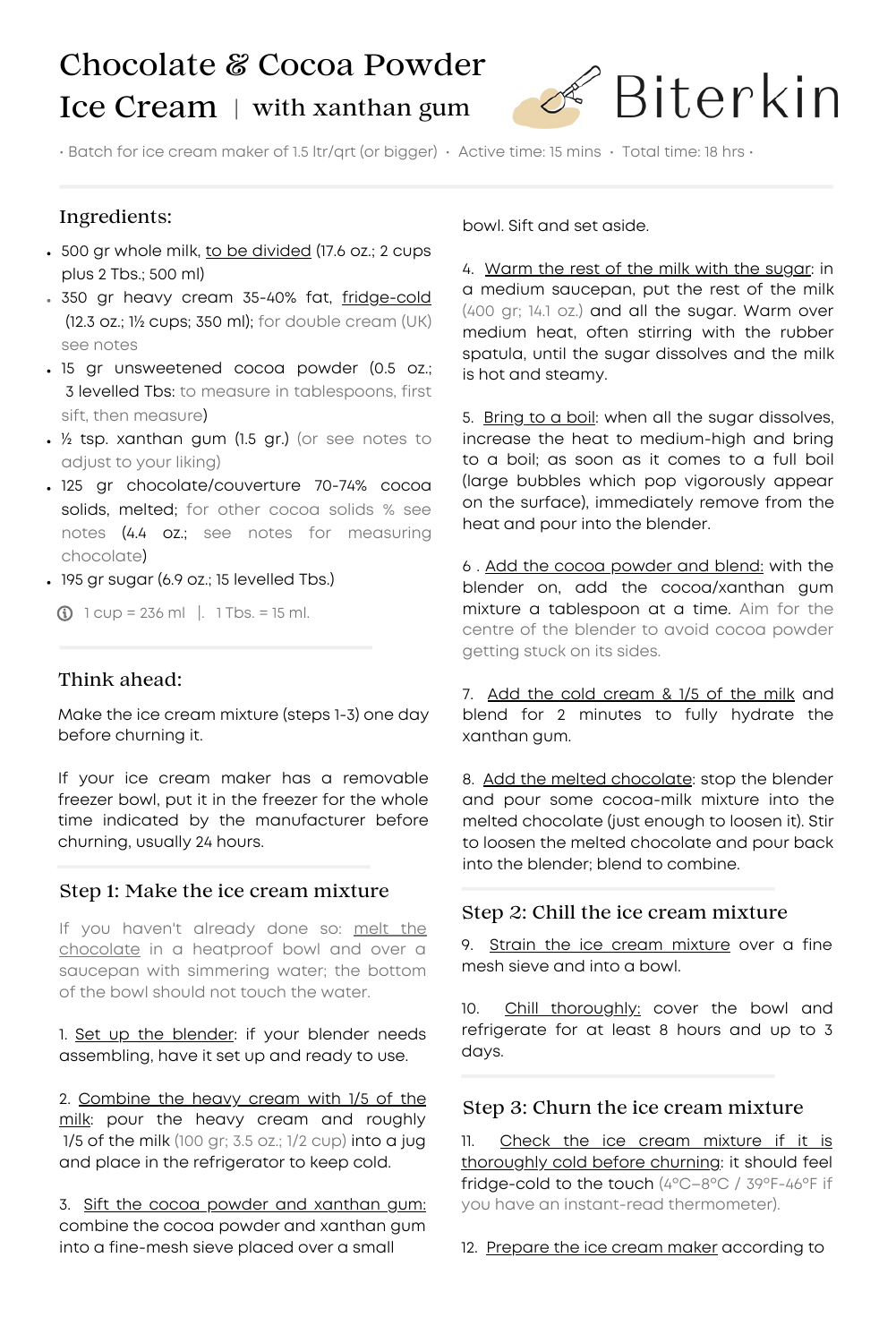# Chocolate & Cocoa Powder Ice Cream | with xanthan gum



• Batch for ice cream maker of 1.5 ltr/qrt (or bigger) • Active time: 15 mins • Total time: 18 hrs •

# Ingredients:

- 500 gr whole milk, to be divided (17.6 oz.; 2 cups plus 2 Tbs.; 500 ml)
- . 350 gr heavy cream 35-40% fat, fridge-cold (12.3 oz.; 1½ cups; 350 ml); for double cream (UK) see notes
- 15 gr unsweetened cocoa powder (0.5 oz.; 3 levelled Tbs: to measure in tablespoons, first sift, then measure)
- ½ tsp. xanthan gum (1.5 gr.) (or see notes to adjust to your liking)
- 125 gr chocolate/couverture 70-74% cocoa solids, melted; for other cocoa solids % see notes (4.4 oz.; see notes for measuring chocolate)
- 195 gr sugar (6.9 oz.; 15 levelled Tbs.)

 $\odot$  1 cup = 236 ml |. 1 Tbs. = 15 ml.

## Think ahead:

Make the ice cream mixture (steps 1-3) one day before churning it.

If your ice cream maker has a removable freezer bowl, put it in the freezer for the whole time indicated by the manufacturer before churning, usually 24 hours.

#### Step 1: Make the ice cream mixture

If you haven't already done so: melt the chocolate in a heatproof bowl and over a saucepan with simmering water; the bottom of the bowl should not touch the water.

1. Set up the blender: if your blender needs assembling, have it set up and ready to use.

2. Combine the heavy cream with 1/5 of the milk: pour the heavy cream and roughly  $1/5$  of the milk (100 gr; 3.5 oz.;  $1/2$  cup) into a jug and place in the refrigerator to keep cold.

3. Sift the cocoa powder and xanthan gum: combine the cocoa powder and xanthan gum into a fine-mesh sieve placed over a small

bowl. Sift and set aside.

4. Warm the rest of the milk with the sugar: in a medium saucepan, put the rest of the milk (400 gr; 14.1 oz.) and all the sugar. Warm over medium heat, often stirring with the rubber spatula, until the sugar dissolves and the milk is hot and steamy.

5. Bring to a boil: when all the sugar dissolves, increase the heat to medium-high and bring to a boil; as soon as it comes to a full boil (large bubbles which pop vigorously appear on the surface), immediately remove from the heat and pour into the blender.

6 . Add the cocoa powder and blend: with the blender on, add the cocoa/xanthan gum mixture a tablespoon at a time. Aim for the centre of the blender to avoid cocoa powder getting stuck on its sides.

7. Add the cold cream & 1/5 of the milk and blend for 2 minutes to fully hydrate the xanthan gum.

8. Add the melted chocolate: stop the blender and pour some cocoa-milk mixture into the melted chocolate (just enough to loosen it). Stir to loosen the melted chocolate and pour back into the blender; blend to combine.

## Step 2: Chill the ice cream mixture

9. Strain the ice cream mixture over a fine mesh sieve and into a bowl.

10. Chill thoroughly: cover the bowl and refrigerate for at least 8 hours and up to 3 days.

## Step 3: Churn the ice cream mixture

11. Check the ice cream mixture if it is thoroughly cold before churning: it should feel fridge-cold to the touch (4ºC–8ºC / 39ºF-46ºF if you have an instant-read thermometer).

12. Prepare the ice cream maker according to